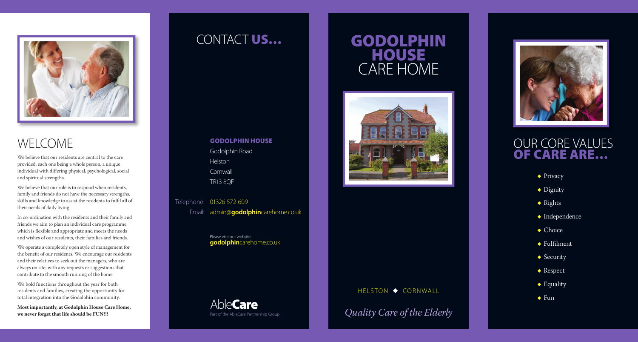

## WELCOME

We believe that our residents are central to the care provided, each one being a whole person, a unique individual with differing physical, psychological, social and spiritual strengths.

We believe that our role is to respond when residents, family and friends do not have the necessary strengths, skills and knowledge to assist the residents to fulfil all of their needs of daily living.

In co-ordination with the residents and their family and friends we aim to plan an individual care programme which is flexible and appropriate and meets the needs and wishes of our residents, their families and friends.

We operate a completely open style of management for the benefit of our residents. We encourage our residents and their relatives to seek out the managers, who are always on site, with any requests or suggestions that contribute to the smooth running of the home.

We hold functions throughout the year for both residents and families, creating the opportunity for total integration into the Godolphin community.

**Most importantly, at Godolphin House Care Home,** 

# GODOLPHIN HOUSE CARE HOME



#### HELSTON  $\blacklozenge$  CORNWALL

**Exercise that life should be FUN!!!**<br> **Exercise Partnership Group Partnership Group Quality Care of the Elderly** 



## CONTACT US…

#### GODOLPHIN HOUSE

Godolphin Road Helston **Cornwall** TR13 8QF

Telephone: 01326 572 609

Email: admin@**godolphin**carehome.co.uk

Please visit our website: **godolphin**carehome.co.uk

AbleCare Part of the AbleCare Partnership Group

## OUR CORE VALUES OF CARE ARE…

- $\rightarrow$  Privacy
- $\blacklozenge$  Dignity
- $\bullet$  Rights
- $\bullet$  Independence
- $\bullet$  Choice
- $\rightarrow$  Fulfilment
- $\triangle$  Security
- $\blacklozenge$  Respect
- $\triangle$  Equality
- $\bullet$  Fun